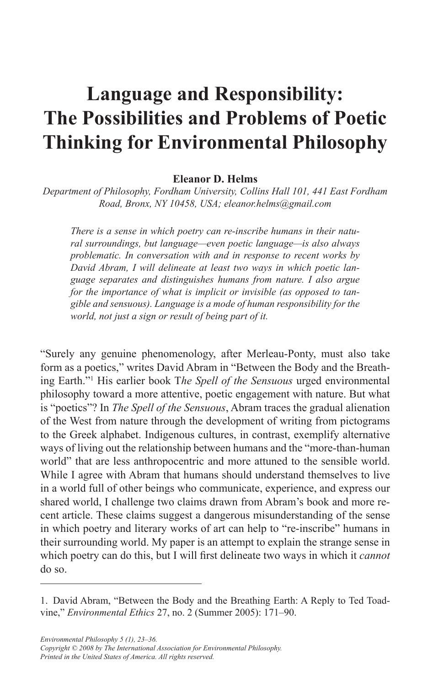# **Language and Responsibility: The Possibilities and Problems of Poetic Thinking for Environmental Philosophy**

#### **Eleanor D. Helms**

*Department of Philosophy, Fordham University, Collins Hall 101, 441 East Fordham Road, Bronx, NY 10458, USA; eleanor.helms@gmail.com* 

*There is a sense in which poetry can re-inscribe humans in their natural surroundings, but language—even poetic language—is also always problematic. In conversation with and in response to recent works by David Abram, I will delineate at least two ways in which poetic language separates and distinguishes humans from nature. I also argue for the importance of what is implicit or invisible (as opposed to tangible and sensuous). Language is a mode of human responsibility for the world, not just a sign or result of being part of it.* 

"Surely any genuine phenomenology, after Merleau-Ponty, must also take form as a poetics," writes David Abram in "Between the Body and the Breathing Earth."<sup>1</sup> His earlier book The Spell of the Sensuous urged environmental philosophy toward a more attentive, poetic engagement with nature. But what is "poetics"? In *The Spell of the Sensuous*, Abram traces the gradual alienation of the West from nature through the development of writing from pictograms to the Greek alphabet. Indigenous cultures, in contrast, exemplify alternative ways of living out the relationship between humans and the "more-than-human world" that are less anthropocentric and more attuned to the sensible world. While I agree with Abram that humans should understand themselves to live in a world full of other beings who communicate, experience, and express our shared world, I challenge two claims drawn from Abram's book and more recent article. These claims suggest a dangerous misunderstanding of the sense in which poetry and literary works of art can help to "re-inscribe" humans in their surrounding world. My paper is an attempt to explain the strange sense in which poetry can do this, but I will first delineate two ways in which it *cannot*  do so.

<sup>1�</sup> David Abram, "Between the Body and the Breathing Earth: A Reply to Ted Toadvine," *Environmental Ethics* 27, no. 2 (Summer 2005): 171–90.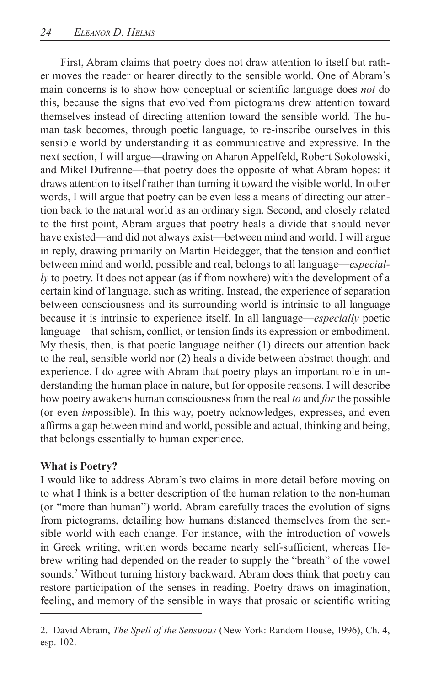*ly* to poetry. It does not appear (as if from nowhere) with the development of a how poetry awakens human consciousness from the real *to* and *for* the possible First, Abram claims that poetry does not draw attention to itself but rather moves the reader or hearer directly to the sensible world� One of Abram's main concerns is to show how conceptual or scientific language does *not* do this, because the signs that evolved from pictograms drew attention toward themselves instead of directing attention toward the sensible world� The human task becomes, through poetic language, to re-inscribe ourselves in this sensible world by understanding it as communicative and expressive. In the next section, I will argue—drawing on Aharon Appelfeld, Robert Sokolowski, and Mikel Dufrenne—that poetry does the opposite of what Abram hopes: it draws attention to itself rather than turning it toward the visible world. In other words, I will argue that poetry can be even less a means of directing our attention back to the natural world as an ordinary sign. Second, and closely related to the first point, Abram argues that poetry heals a divide that should never have existed—and did not always exist—between mind and world. I will argue in reply, drawing primarily on Martin Heidegger, that the tension and conflict between mind and world, possible and real, belongs to all language—*especial*certain kind of language, such as writing. Instead, the experience of separation between consciousness and its surrounding world is intrinsic to all language because it is intrinsic to experience itself. In all language—*especially* poetic language – that schism, conflict, or tension finds its expression or embodiment. My thesis, then, is that poetic language neither (1) directs our attention back to the real, sensible world nor (2) heals a divide between abstract thought and experience. I do agree with Abram that poetry plays an important role in understanding the human place in nature, but for opposite reasons. I will describe (or even *impossible)*. In this way, poetry acknowledges, expresses, and even affirms a gap between mind and world, possible and actual, thinking and being, that belongs essentially to human experience.

## **What is Poetry?**

I would like to address Abram's two claims in more detail before moving on to what I think is a better description of the human relation to the non-human (or "more than human") world. Abram carefully traces the evolution of signs from pictograms, detailing how humans distanced themselves from the sensible world with each change. For instance, with the introduction of vowels in Greek writing, written words became nearly self-sufficient, whereas Hebrew writing had depended on the reader to supply the "breath" of the vowel sounds.<sup>2</sup> Without turning history backward, Abram does think that poetry can restore participation of the senses in reading. Poetry draws on imagination, feeling, and memory of the sensible in ways that prosaic or scientific writing

<sup>2.</sup> David Abram, *The Spell of the Sensuous* (New York: Random House, 1996), Ch. 4, esp. 102.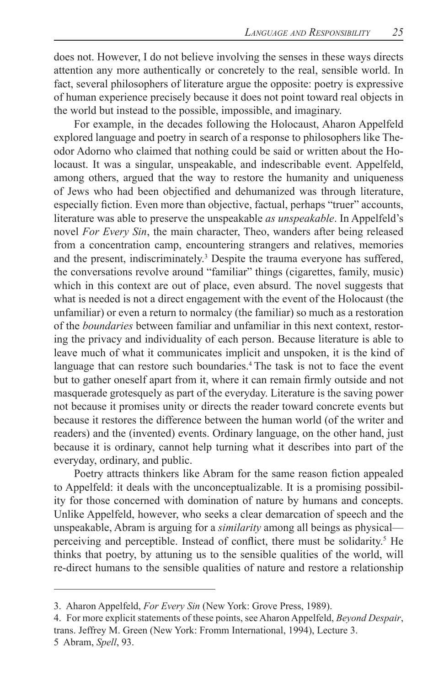does not. However, I do not believe involving the senses in these ways directs attention any more authentically or concretely to the real, sensible world. In fact, several philosophers of literature argue the opposite: poetry is expressive of human experience precisely because it does not point toward real objects in the world but instead to the possible, impossible, and imaginary.

For example, in the decades following the Holocaust, Aharon Appelfeld explored language and poetry in search of a response to philosophers like Theodor Adorno who claimed that nothing could be said or written about the Holocaust. It was a singular, unspeakable, and indescribable event. Appelfeld, among others, argued that the way to restore the humanity and uniqueness of Jews who had been objectified and dehumanized was through literature, especially fiction. Even more than objective, factual, perhaps "truer" accounts, literature was able to preserve the unspeakable *as unspeakable*. In Appelfeld's novel *For Every Sin*, the main character, Theo, wanders after being released from a concentration camp, encountering strangers and relatives, memories and the present, indiscriminately.<sup>3</sup> Despite the trauma everyone has suffered, the conversations revolve around "familiar" things (cigarettes, family, music) which in this context are out of place, even absurd. The novel suggests that what is needed is not a direct engagement with the event of the Holocaust (the unfamiliar) or even a return to normalcy (the familiar) so much as a restoration of the *boundaries* between familiar and unfamiliar in this next context, restoring the privacy and individuality of each person. Because literature is able to leave much of what it communicates implicit and unspoken, it is the kind of language that can restore such boundaries.<sup>4</sup> The task is not to face the event but to gather oneself apart from it, where it can remain firmly outside and not masquerade grotesquely as part of the everyday. Literature is the saving power not because it promises unity or directs the reader toward concrete events but because it restores the difference between the human world (of the writer and readers) and the (invented) events. Ordinary language, on the other hand, just because it is ordinary, cannot help turning what it describes into part of the everyday, ordinary, and public.

Poetry attracts thinkers like Abram for the same reason fiction appealed to Appelfeld: it deals with the unconceptualizable. It is a promising possibility for those concerned with domination of nature by humans and concepts. Unlike Appelfeld, however, who seeks a clear demarcation of speech and the unspeakable, Abram is arguing for a *similarity* among all beings as physical perceiving and perceptible. Instead of conflict, there must be solidarity.<sup>5</sup> He thinks that poetry, by attuning us to the sensible qualities of the world, will re-direct humans to the sensible qualities of nature and restore a relationship

<sup>3.</sup> Aharon Appelfeld, *For Every Sin* (New York: Grove Press, 1989).

<sup>4�</sup> For more explicit statements of these points, see Aharon Appelfeld, *Beyond Despair*, trans. Jeffrey M. Green (New York: Fromm International, 1994), Lecture 3.

<sup>5</sup> Abram, *Spell*, 93�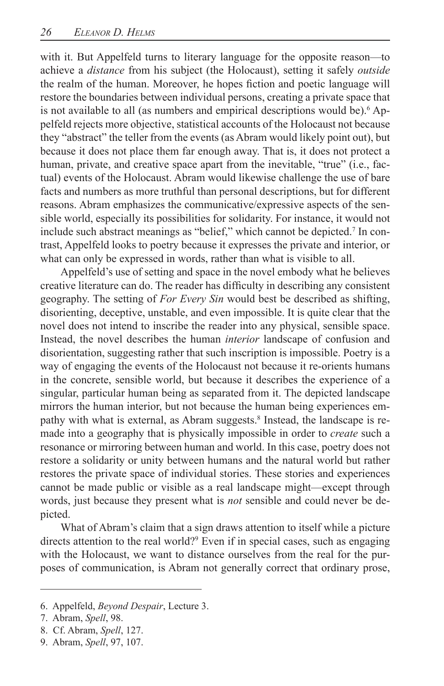with it. But Appelfeld turns to literary language for the opposite reason—to achieve a *distance* from his subject (the Holocaust), setting it safely *outside*  the realm of the human. Moreover, he hopes fiction and poetic language will restore the boundaries between individual persons, creating a private space that is not available to all (as numbers and empirical descriptions would be).<sup>6</sup> Appelfeld rejects more objective, statistical accounts of the Holocaust not because they "abstract" the teller from the events (as Abram would likely point out), but because it does not place them far enough away. That is, it does not protect a human, private, and creative space apart from the inevitable, "true" (i.e., factual) events of the Holocaust. Abram would likewise challenge the use of bare facts and numbers as more truthful than personal descriptions, but for different reasons. Abram emphasizes the communicative/expressive aspects of the sensible world, especially its possibilities for solidarity. For instance, it would not include such abstract meanings as "belief," which cannot be depicted.<sup>7</sup> In contrast, Appelfeld looks to poetry because it expresses the private and interior, or what can only be expressed in words, rather than what is visible to all.

disorienting, deceptive, unstable, and even impossible. It is quite clear that the Appelfeld's use of setting and space in the novel embody what he believes creative literature can do. The reader has difficulty in describing any consistent geography. The setting of *For Every Sin* would best be described as shifting, novel does not intend to inscribe the reader into any physical, sensible space. Instead, the novel describes the human *interior* landscape of confusion and disorientation, suggesting rather that such inscription is impossible. Poetry is a way of engaging the events of the Holocaust not because it re-orients humans in the concrete, sensible world, but because it describes the experience of a singular, particular human being as separated from it. The depicted landscape mirrors the human interior, but not because the human being experiences empathy with what is external, as Abram suggests.<sup>8</sup> Instead, the landscape is remade into a geography that is physically impossible in order to *create* such a resonance or mirroring between human and world. In this case, poetry does not restore a solidarity or unity between humans and the natural world but rather restores the private space of individual stories. These stories and experiences cannot be made public or visible as a real landscape might—except through words, just because they present what is *not* sensible and could never be depicted.

What of Abram's claim that a sign draws attention to itself while a picture directs attention to the real world?<sup>9</sup> Even if in special cases, such as engaging with the Holocaust, we want to distance ourselves from the real for the purposes of communication, is Abram not generally correct that ordinary prose,

<sup>6.</sup> Appelfeld, *Beyond Despair*, Lecture 3.

<sup>7.</sup> Abram, *Spell*, 98.

<sup>8.</sup> Cf. Abram, *Spell*, 127.

<sup>9.</sup> Abram, *Spell*, 97, 107.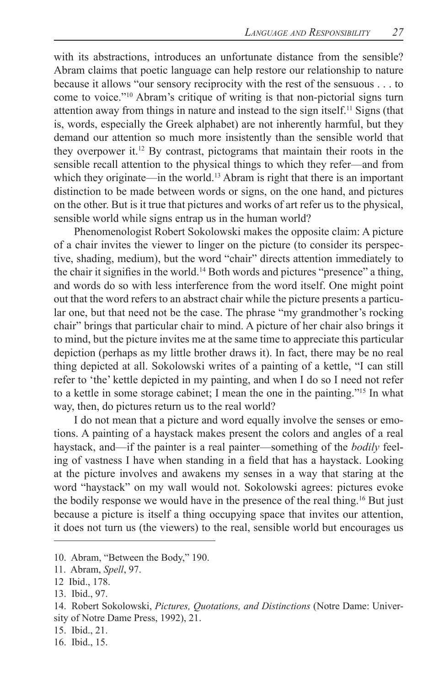because it allows "our sensory reciprocity with the rest of the sensuous  $\dots$  to with its abstractions, introduces an unfortunate distance from the sensible? Abram claims that poetic language can help restore our relationship to nature come to voice."<sup>10</sup> Abram's critique of writing is that non-pictorial signs turn attention away from things in nature and instead to the sign itself.<sup>11</sup> Signs (that is, words, especially the Greek alphabet) are not inherently harmful, but they demand our attention so much more insistently than the sensible world that they overpower it. $12$  By contrast, pictograms that maintain their roots in the sensible recall attention to the physical things to which they refer—and from which they originate—in the world.<sup>13</sup> Abram is right that there is an important distinction to be made between words or signs, on the one hand, and pictures on the other. But is it true that pictures and works of art refer us to the physical, sensible world while signs entrap us in the human world?

chair" brings that particular chair to mind. A picture of her chair also brings it Phenomenologist Robert Sokolowski makes the opposite claim: A picture of a chair invites the viewer to linger on the picture (to consider its perspective, shading, medium), but the word "chair" directs attention immediately to the chair it signifies in the world.14 Both words and pictures "presence" a thing, and words do so with less interference from the word itself. One might point out that the word refers to an abstract chair while the picture presents a particular one, but that need not be the case. The phrase "my grandmother's rocking to mind, but the picture invites me at the same time to appreciate this particular depiction (perhaps as my little brother draws it). In fact, there may be no real thing depicted at all. Sokolowski writes of a painting of a kettle, "I can still refer to 'the' kettle depicted in my painting, and when I do so I need not refer to a kettle in some storage cabinet; I mean the one in the painting."<sup>15</sup> In what way, then, do pictures return us to the real world?

tions. A painting of a haystack makes present the colors and angles of a real I do not mean that a picture and word equally involve the senses or emohaystack, and—if the painter is a real painter—something of the *bodily* feeling of vastness I have when standing in a field that has a haystack. Looking at the picture involves and awakens my senses in a way that staring at the word "haystack" on my wall would not. Sokolowski agrees: pictures evoke the bodily response we would have in the presence of the real thing.<sup>16</sup> But just because a picture is itself a thing occupying space that invites our attention, it does not turn us (the viewers) to the real, sensible world but encourages us

16. Ibid., 15.

<sup>10.</sup> Abram, "Between the Body," 190.

<sup>11.</sup> Abram, *Spell*, 97.

<sup>12</sup> Ibid., 178.

<sup>13.</sup> Ibid., 97.

<sup>14�</sup> Robert Sokolowski, *Pictures, Quotations, and Distinctions* (Notre Dame: University of Notre Dame Press, 1992), 21.

<sup>15.</sup> Ibid., 21.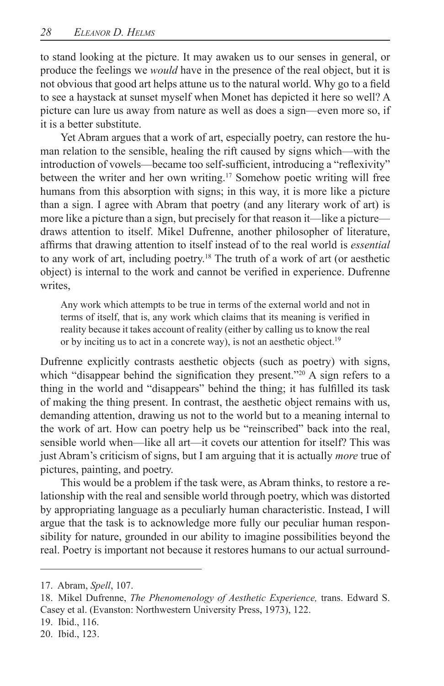to stand looking at the picture. It may awaken us to our senses in general, or produce the feelings we *would* have in the presence of the real object, but it is not obvious that good art helps attune us to the natural world. Why go to a field to see a haystack at sunset myself when Monet has depicted it here so well? A picture can lure us away from nature as well as does a sign—even more so, if it is a better substitute.

Yet Abram argues that a work of art, especially poetry, can restore the human relation to the sensible, healing the rift caused by signs which—with the introduction of vowels—became too self-sufficient, introducing a "reflexivity" between the writer and her own writing.<sup>17</sup> Somehow poetic writing will free humans from this absorption with signs; in this way, it is more like a picture than a sign. I agree with Abram that poetry (and any literary work of art) is more like a picture than a sign, but precisely for that reason it—like a picture draws attention to itself. Mikel Dufrenne, another philosopher of literature, affirms that drawing attention to itself instead of to the real world is *essential*  to any work of art, including poetry.<sup>18</sup> The truth of a work of art (or aesthetic object) is internal to the work and cannot be verified in experience. Dufrenne writes,

Any work which attempts to be true in terms of the external world and not in terms of itself, that is, any work which claims that its meaning is verified in reality because it takes account of reality (either by calling us to know the real or by inciting us to act in a concrete way), is not an aesthetic object.<sup>19</sup>

which "disappear behind the signification they present."<sup>20</sup> A sign refers to a Dufrenne explicitly contrasts aesthetic objects (such as poetry) with signs, thing in the world and "disappears" behind the thing; it has fulfilled its task of making the thing present. In contrast, the aesthetic object remains with us, demanding attention, drawing us not to the world but to a meaning internal to the work of art. How can poetry help us be "reinscribed" back into the real, sensible world when—like all art—it covets our attention for itself? This was just Abram's criticism of signs, but I am arguing that it is actually *more* true of pictures, painting, and poetry.

This would be a problem if the task were, as Abram thinks, to restore a relationship with the real and sensible world through poetry, which was distorted by appropriating language as a peculiarly human characteristic. Instead, I will argue that the task is to acknowledge more fully our peculiar human responsibility for nature, grounded in our ability to imagine possibilities beyond the real. Poetry is important not because it restores humans to our actual surround-

- 19. Ibid., 116.
- 20. Ibid., 123.

<sup>17.</sup> Abram, *Spell*, 107.

<sup>18.</sup> Mikel Dufrenne, *The Phenomenology of Aesthetic Experience*, trans. Edward S. Casey et al. (Evanston: Northwestern University Press, 1973), 122.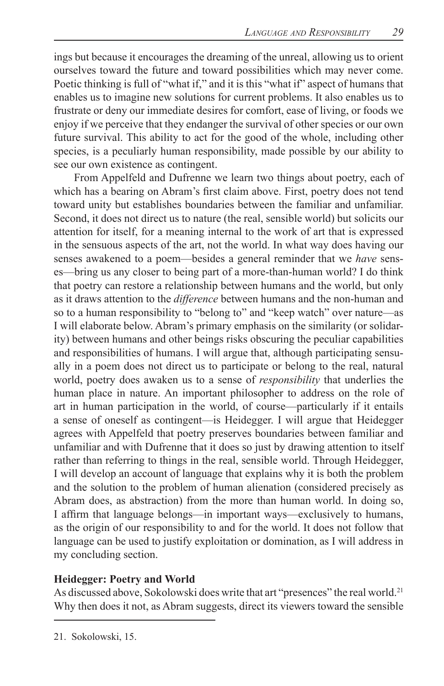ings but because it encourages the dreaming of the unreal, allowing us to orient ourselves toward the future and toward possibilities which may never come. Poetic thinking is full of "what if," and it is this "what if" aspect of humans that enables us to imagine new solutions for current problems. It also enables us to frustrate or deny our immediate desires for comfort, ease of living, or foods we enjoy if we perceive that they endanger the survival of other species or our own future survival. This ability to act for the good of the whole, including other species, is a peculiarly human responsibility, made possible by our ability to see our own existence as contingent.

From Appelfeld and Dufrenne we learn two things about poetry, each of which has a bearing on Abram's first claim above. First, poetry does not tend toward unity but establishes boundaries between the familiar and unfamiliar. Second, it does not direct us to nature (the real, sensible world) but solicits our attention for itself, for a meaning internal to the work of art that is expressed in the sensuous aspects of the art, not the world. In what way does having our senses awakened to a poem—besides a general reminder that we *have* senses—bring us any closer to being part of a more-than-human world? I do think that poetry can restore a relationship between humans and the world, but only as it draws attention to the *difference* between humans and the non-human and so to a human responsibility to "belong to" and "keep watch" over nature—as I will elaborate below. Abram's primary emphasis on the similarity (or solidarity) between humans and other beings risks obscuring the peculiar capabilities and responsibilities of humans. I will argue that, although participating sensually in a poem does not direct us to participate or belong to the real, natural world, poetry does awaken us to a sense of *responsibility* that underlies the human place in nature. An important philosopher to address on the role of art in human participation in the world, of course—particularly if it entails a sense of oneself as contingent—is Heidegger. I will argue that Heidegger agrees with Appelfeld that poetry preserves boundaries between familiar and unfamiliar and with Dufrenne that it does so just by drawing attention to itself rather than referring to things in the real, sensible world. Through Heidegger, I will develop an account of language that explains why it is both the problem and the solution to the problem of human alienation (considered precisely as Abram does, as abstraction) from the more than human world. In doing so, I affirm that language belongs—in important ways—exclusively to humans, as the origin of our responsibility to and for the world. It does not follow that language can be used to justify exploitation or domination, as I will address in my concluding section.

## **Heidegger: Poetry and World**

As discussed above, Sokolowski does write that art "presences" the real world.<sup>21</sup> Why then does it not, as Abram suggests, direct its viewers toward the sensible

<sup>21.</sup> Sokolowski, 15.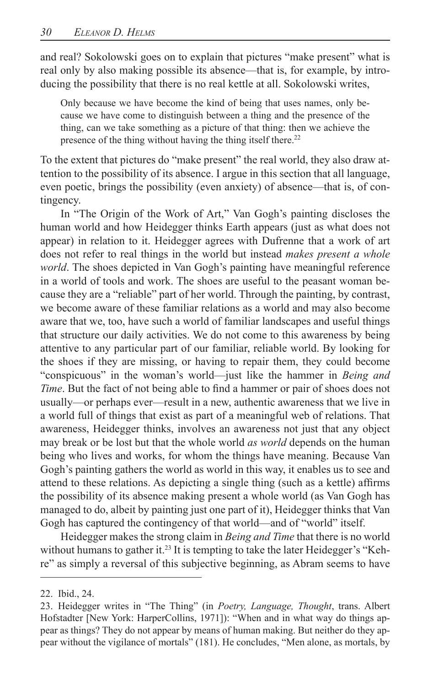and real? Sokolowski goes on to explain that pictures "make present" what is real only by also making possible its absence—that is, for example, by introducing the possibility that there is no real kettle at all. Sokolowski writes,

Only because we have become the kind of being that uses names, only because we have come to distinguish between a thing and the presence of the thing, can we take something as a picture of that thing: then we achieve the presence of the thing without having the thing itself there.<sup>22</sup>

To the extent that pictures do "make present" the real world, they also draw attention to the possibility of its absence. I argue in this section that all language, even poetic, brings the possibility (even anxiety) of absence—that is, of contingency.

In "The Origin of the Work of Art," Van Gogh's painting discloses the human world and how Heidegger thinks Earth appears (just as what does not appear) in relation to it. Heidegger agrees with Dufrenne that a work of art does not refer to real things in the world but instead *makes present a whole world*. The shoes depicted in Van Gogh's painting have meaningful reference in a world of tools and work. The shoes are useful to the peasant woman because they are a "reliable" part of her world. Through the painting, by contrast, we become aware of these familiar relations as a world and may also become aware that we, too, have such a world of familiar landscapes and useful things that structure our daily activities. We do not come to this awareness by being attentive to any particular part of our familiar, reliable world. By looking for the shoes if they are missing, or having to repair them, they could become "conspicuous" in the woman's world—just like the hammer in *Being and Time*. But the fact of not being able to find a hammer or pair of shoes does not usually—or perhaps ever—result in a new, authentic awareness that we live in a world full of things that exist as part of a meaningful web of relations. That awareness, Heidegger thinks, involves an awareness not just that any object may break or be lost but that the whole world *as world* depends on the human being who lives and works, for whom the things have meaning. Because Van Gogh's painting gathers the world as world in this way, it enables us to see and attend to these relations. As depicting a single thing (such as a kettle) affirms the possibility of its absence making present a whole world (as Van Gogh has managed to do, albeit by painting just one part of it), Heidegger thinks that Van Gogh has captured the contingency of that world—and of "world" itself.

Heidegger makes the strong claim in *Being and Time* that there is no world without humans to gather it.<sup>23</sup> It is tempting to take the later Heidegger's "Kehre" as simply a reversal of this subjective beginning, as Abram seems to have

<sup>22.</sup> Ibid., 24.

<sup>23.</sup> Heidegger writes in "The Thing" (in *Poetry, Language, Thought*, trans. Albert Hofstadter [New York: HarperCollins, 1971]): "When and in what way do things appear as things? They do not appear by means of human making. But neither do they appear without the vigilance of mortals" (181). He concludes, "Men alone, as mortals, by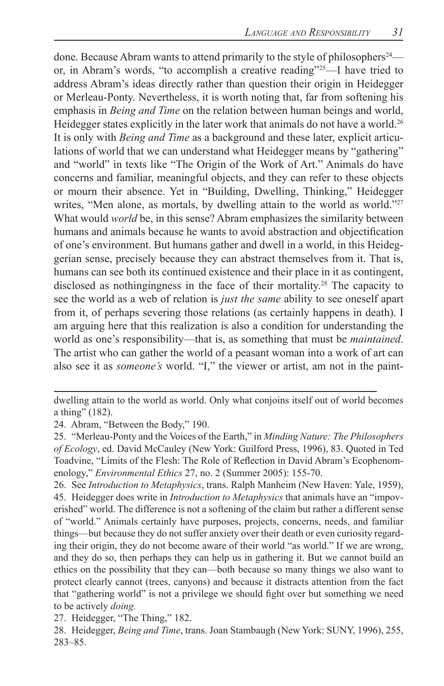also see it as *someone's* world. "I," the viewer or artist, am not in the paintdone. Because Abram wants to attend primarily to the style of philosophers<sup>24</sup> or, in Abram's words, "to accomplish a creative reading"25—I have tried to address Abram's ideas directly rather than question their origin in Heidegger or Merleau-Ponty. Nevertheless, it is worth noting that, far from softening his emphasis in *Being and Time* on the relation between human beings and world, Heidegger states explicitly in the later work that animals do not have a world.<sup>26</sup> It is only with *Being and Time* as a background and these later, explicit articulations of world that we can understand what Heidegger means by "gathering" and "world" in texts like "The Origin of the Work of Art." Animals do have concerns and familiar, meaningful objects, and they can refer to these objects or mourn their absence. Yet in "Building, Dwelling, Thinking," Heidegger writes, "Men alone, as mortals, by dwelling attain to the world as world."<sup>27</sup> What would *world* be, in this sense? Abram emphasizes the similarity between humans and animals because he wants to avoid abstraction and objectification of one's environment. But humans gather and dwell in a world, in this Heideggerian sense, precisely because they can abstract themselves from it. That is, humans can see both its continued existence and their place in it as contingent, disclosed as nothingingness in the face of their mortality.<sup>28</sup> The capacity to see the world as a web of relation is *just the same* ability to see oneself apart from it, of perhaps severing those relations (as certainly happens in death). I am arguing here that this realization is also a condition for understanding the world as one's responsibility—that is, as something that must be *maintained*. The artist who can gather the world of a peasant woman into a work of art can

dwelling attain to the world as world. Only what conjoins itself out of world becomes a thing"  $(182)$ .

<sup>24.</sup> Abram, "Between the Body," 190.

<sup>25� &</sup>quot;Merleau-Ponty and the Voices of the Earth," in *Minding Nature: The Philosophers of Ecology*, ed. David McCauley (New York: Guilford Press, 1996), 83. Quoted in Ted Toadvine, "Limits of the Flesh: The Role of Reflection in David Abram's Ecophenomenology," *Environmental Ethics* 27, no. 2 (Summer 2005): 155-70.

<sup>26.</sup> See *Introduction to Metaphysics*, trans. Ralph Manheim (New Haven: Yale, 1959),

<sup>45�</sup> Heidegger does write in *Introduction to Metaphysics* that animals have an "impoverished" world. The difference is not a softening of the claim but rather a different sense of "world." Animals certainly have purposes, projects, concerns, needs, and familiar things—but because they do not suffer anxiety over their death or even curiosity regarding their origin, they do not become aware of their world "as world." If we are wrong, and they do so, then perhaps they can help us in gathering it. But we cannot build an ethics on the possibility that they can—both because so many things we also want to protect clearly cannot (trees, canyons) and because it distracts attention from the fact that "gathering world" is not a privilege we should fight over but something we need to be actively *doing.*

<sup>27.</sup> Heidegger, "The Thing," 182.

<sup>28.</sup> Heidegger, *Being and Time*, trans. Joan Stambaugh (New York: SUNY, 1996), 255, 283–85�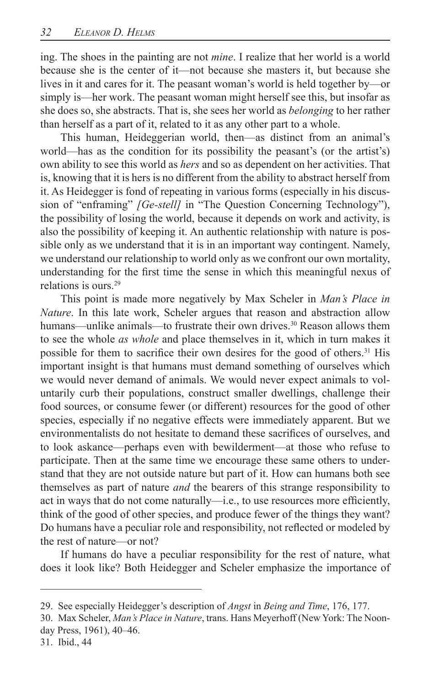ing. The shoes in the painting are not *mine*. I realize that her world is a world because she is the center of it—not because she masters it, but because she lives in it and cares for it. The peasant woman's world is held together by—or simply is—her work. The peasant woman might herself see this, but insofar as she does so, she abstracts� That is, she sees her world as *belonging* to her rather than herself as a part of it, related to it as any other part to a whole.

This human, Heideggerian world, then—as distinct from an animal's world—has as the condition for its possibility the peasant's (or the artist's) own ability to see this world as *hers* and so as dependent on her activities. That is, knowing that it is hers is no different from the ability to abstract herself from it. As Heidegger is fond of repeating in various forms (especially in his discussion of "enframing" *[Ge-stell]* in "The Question Concerning Technology"), the possibility of losing the world, because it depends on work and activity, is also the possibility of keeping it. An authentic relationship with nature is possible only as we understand that it is in an important way contingent. Namely, we understand our relationship to world only as we confront our own mortality, understanding for the first time the sense in which this meaningful nexus of relations is ours. $29$ 

This point is made more negatively by Max Scheler in *Man's Place in Nature*. In this late work, Scheler argues that reason and abstraction allow humans—unlike animals—to frustrate their own drives.<sup>30</sup> Reason allows them to see the whole *as whole* and place themselves in it, which in turn makes it possible for them to sacrifice their own desires for the good of others.<sup>31</sup> His important insight is that humans must demand something of ourselves which we would never demand of animals. We would never expect animals to voluntarily curb their populations, construct smaller dwellings, challenge their food sources, or consume fewer (or different) resources for the good of other species, especially if no negative effects were immediately apparent. But we environmentalists do not hesitate to demand these sacrifices of ourselves, and to look askance—perhaps even with bewilderment—at those who refuse to participate. Then at the same time we encourage these same others to understand that they are not outside nature but part of it. How can humans both see themselves as part of nature *and* the bearers of this strange responsibility to act in ways that do not come naturally—i.e., to use resources more efficiently, think of the good of other species, and produce fewer of the things they want? Do humans have a peculiar role and responsibility, not reflected or modeled by the rest of nature—or not?

If humans do have a peculiar responsibility for the rest of nature, what does it look like? Both Heidegger and Scheler emphasize the importance of

<sup>29.</sup> See especially Heidegger's description of *Angst* in *Being and Time*, 176, 177.

<sup>30.</sup> Max Scheler, *Man's Place in Nature*, trans. Hans Meyerhoff (New York: The Noonday Press, 1961), 40-46.

<sup>31.</sup> Ibid., 44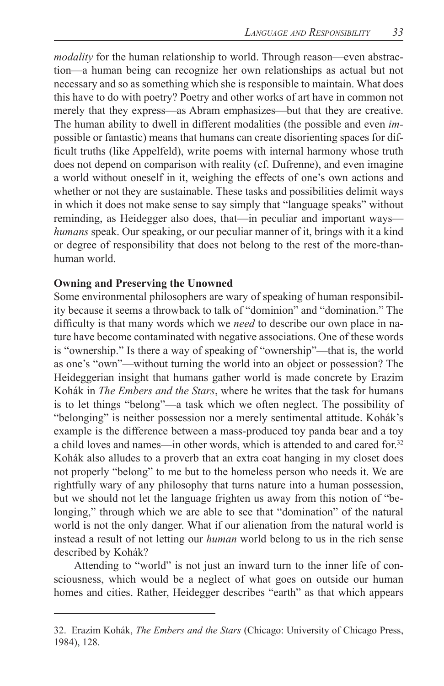*humans* speak. Our speaking, or our peculiar manner of it, brings with it a kind *modality* for the human relationship to world. Through reason—even abstraction—a human being can recognize her own relationships as actual but not necessary and so as something which she is responsible to maintain. What does this have to do with poetry? Poetry and other works of art have in common not merely that they express—as Abram emphasizes—but that they are creative. The human ability to dwell in different modalities (the possible and even *im*possible or fantastic) means that humans can create disorienting spaces for difficult truths (like Appelfeld), write poems with internal harmony whose truth does not depend on comparison with reality (cf. Dufrenne), and even imagine a world without oneself in it, weighing the effects of one's own actions and whether or not they are sustainable. These tasks and possibilities delimit ways in which it does not make sense to say simply that "language speaks" without reminding, as Heidegger also does, that—in peculiar and important ways or degree of responsibility that does not belong to the rest of the more-thanhuman world�

#### **Owning and Preserving the Unowned**

Some environmental philosophers are wary of speaking of human responsibility because it seems a throwback to talk of "dominion" and "domination." The difficulty is that many words which we *need* to describe our own place in nature have become contaminated with negative associations. One of these words is "ownership." Is there a way of speaking of "ownership"—that is, the world as one's "own"—without turning the world into an object or possession? The Heideggerian insight that humans gather world is made concrete by Erazim Kohák in *The Embers and the Stars*, where he writes that the task for humans is to let things "belong"—a task which we often neglect. The possibility of "belonging" is neither possession nor a merely sentimental attitude. Kohák's example is the difference between a mass-produced toy panda bear and a toy a child loves and names—in other words, which is attended to and cared for.<sup>32</sup> Kohák also alludes to a proverb that an extra coat hanging in my closet does not properly "belong" to me but to the homeless person who needs it. We are rightfully wary of any philosophy that turns nature into a human possession, but we should not let the language frighten us away from this notion of "belonging," through which we are able to see that "domination" of the natural world is not the only danger. What if our alienation from the natural world is instead a result of not letting our *human* world belong to us in the rich sense described by Kohák?

Attending to "world" is not just an inward turn to the inner life of consciousness, which would be a neglect of what goes on outside our human homes and cities. Rather, Heidegger describes "earth" as that which appears

<sup>32.</sup> Erazim Kohák, *The Embers and the Stars* (Chicago: University of Chicago Press, 1984), 128�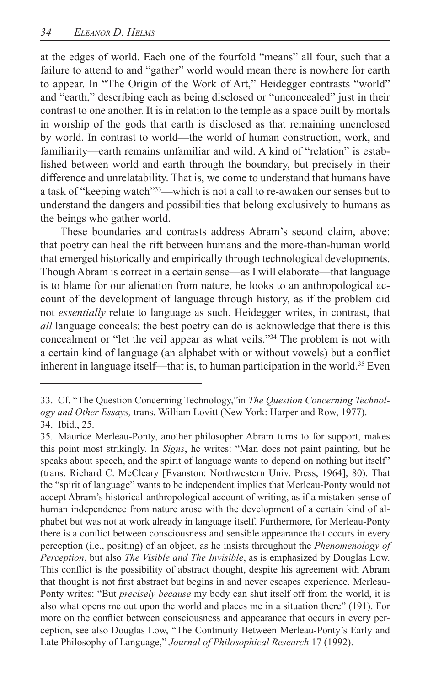familiarity—earth remains unfamiliar and wild. A kind of "relation" is estab at the edges of world. Each one of the fourfold "means" all four, such that a failure to attend to and "gather" world would mean there is nowhere for earth to appear. In "The Origin of the Work of Art," Heidegger contrasts "world" and "earth," describing each as being disclosed or "unconcealed" just in their contrast to one another. It is in relation to the temple as a space built by mortals in worship of the gods that earth is disclosed as that remaining unenclosed by world. In contrast to world—the world of human construction, work, and lished between world and earth through the boundary, but precisely in their difference and unrelatability. That is, we come to understand that humans have a task of "keeping watch"33—which is not a call to re-awaken our senses but to understand the dangers and possibilities that belong exclusively to humans as the beings who gather world.

These boundaries and contrasts address Abram's second claim, above: that poetry can heal the rift between humans and the more-than-human world that emerged historically and empirically through technological developments. Though Abram is correct in a certain sense—as I will elaborate—that language is to blame for our alienation from nature, he looks to an anthropological account of the development of language through history, as if the problem did not *essentially* relate to language as such. Heidegger writes, in contrast, that *all* language conceals; the best poetry can do is acknowledge that there is this concealment or "let the veil appear as what veils."<sup>34</sup> The problem is not with a certain kind of language (an alphabet with or without vowels) but a conflict inherent in language itself—that is, to human participation in the world.<sup>35</sup> Even

<sup>33.</sup> Cf. "The Question Concerning Technology," in *The Question Concerning Technology and Other Essays, trans.* William Lovitt (New York: Harper and Row, 1977).

<sup>34.</sup> Ibid., 25.

<sup>(</sup>trans. Richard C. McCleary [Evanston: Northwestern Univ. Press, 1964], 80). That 35. Maurice Merleau-Ponty, another philosopher Abram turns to for support, makes this point most strikingly. In *Signs*, he writes: "Man does not paint painting, but he speaks about speech, and the spirit of language wants to depend on nothing but itself" the "spirit of language" wants to be independent implies that Merleau-Ponty would not accept Abram's historical-anthropological account of writing, as if a mistaken sense of human independence from nature arose with the development of a certain kind of alphabet but was not at work already in language itself. Furthermore, for Merleau-Ponty there is a conflict between consciousness and sensible appearance that occurs in every perception (i.e., positing) of an object, as he insists throughout the *Phenomenology of Perception*, but also *The Visible and The Invisible*, as is emphasized by Douglas Low. This conflict is the possibility of abstract thought, despite his agreement with Abram that thought is not first abstract but begins in and never escapes experience. Merleau-Ponty writes: "But *precisely because* my body can shut itself off from the world, it is also what opens me out upon the world and places me in a situation there" (191). For more on the conflict between consciousness and appearance that occurs in every perception, see also Douglas Low, "The Continuity Between Merleau-Ponty's Early and Late Philosophy of Language," Journal of Philosophical Research 17 (1992).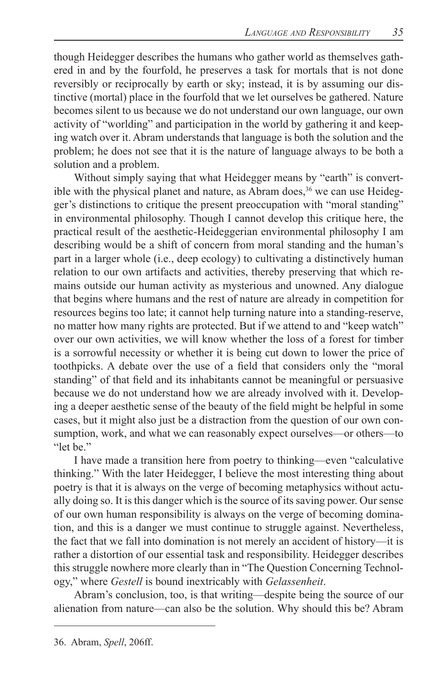though Heidegger describes the humans who gather world as themselves gathered in and by the fourfold, he preserves a task for mortals that is not done reversibly or reciprocally by earth or sky; instead, it is by assuming our distinctive (mortal) place in the fourfold that we let ourselves be gathered. Nature becomes silent to us because we do not understand our own language, our own activity of "worlding" and participation in the world by gathering it and keeping watch over it. Abram understands that language is both the solution and the problem; he does not see that it is the nature of language always to be both a solution and a problem.

Without simply saying that what Heidegger means by "earth" is convertible with the physical planet and nature, as Abram does,  $36$  we can use Heidegger's distinctions to critique the present preoccupation with "moral standing" in environmental philosophy. Though I cannot develop this critique here, the practical result of the aesthetic-Heideggerian environmental philosophy I am describing would be a shift of concern from moral standing and the human's part in a larger whole (i.e., deep ecology) to cultivating a distinctively human relation to our own artifacts and activities, thereby preserving that which remains outside our human activity as mysterious and unowned. Any dialogue that begins where humans and the rest of nature are already in competition for resources begins too late; it cannot help turning nature into a standing-reserve, no matter how many rights are protected. But if we attend to and "keep watch" over our own activities, we will know whether the loss of a forest for timber is a sorrowful necessity or whether it is being cut down to lower the price of toothpicks. A debate over the use of a field that considers only the "moral standing" of that field and its inhabitants cannot be meaningful or persuasive because we do not understand how we are already involved with it. Developing a deeper aesthetic sense of the beauty of the field might be helpful in some cases, but it might also just be a distraction from the question of our own consumption, work, and what we can reasonably expect ourselves—or others—to "let be."

I have made a transition here from poetry to thinking—even "calculative thinking." With the later Heidegger, I believe the most interesting thing about poetry is that it is always on the verge of becoming metaphysics without actually doing so. It is this danger which is the source of its saving power. Our sense of our own human responsibility is always on the verge of becoming domination, and this is a danger we must continue to struggle against. Nevertheless, the fact that we fall into domination is not merely an accident of history—it is rather a distortion of our essential task and responsibility. Heidegger describes this struggle nowhere more clearly than in "The Question Concerning Technology," where *Gestell* is bound inextricably with *Gelassenheit*�

Abram's conclusion, too, is that writing—despite being the source of our alienation from nature—can also be the solution. Why should this be? Abram